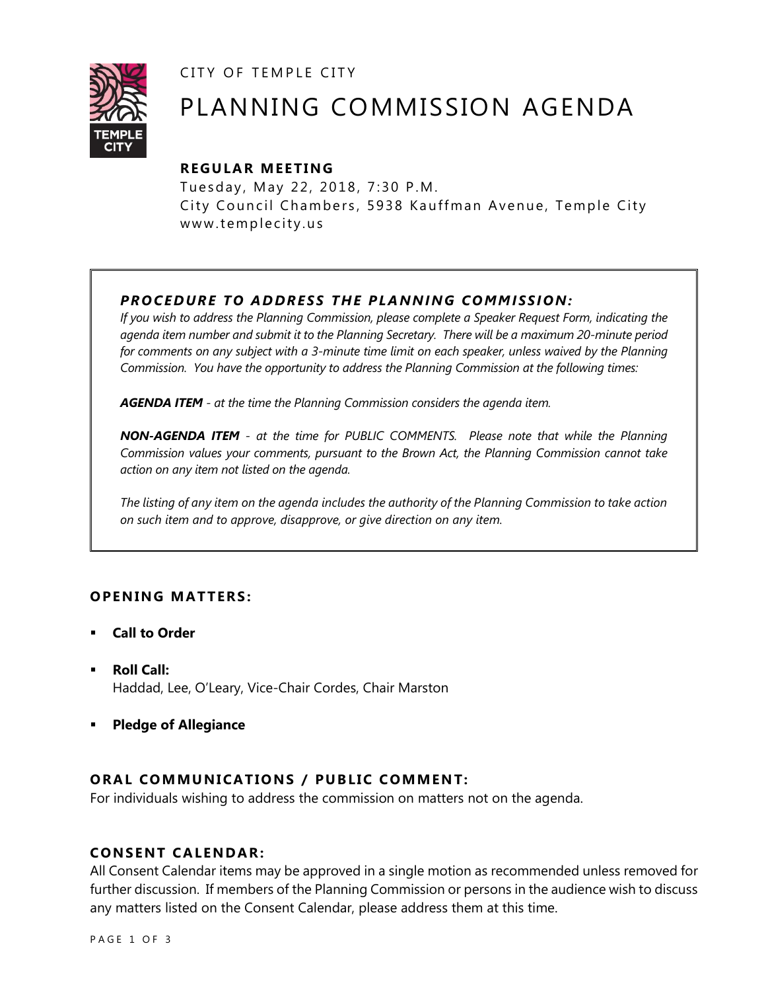CITY OF TEMPLE CITY



# PLANNING COMMISSION AGENDA

# **R EGULA R MEE TING**

Tuesday, May 22, 2018, 7:30 P.M. City Council Chambers, 5938 Kauffman Avenue, Temple City www.templecity.us

# *PRO CE DURE TO ADDRE SS THE P LA NNI NG COMM I SSION:*

*If you wish to address the Planning Commission, please complete a Speaker Request Form, indicating the agenda item number and submit it to the Planning Secretary. There will be a maximum 20-minute period*  for comments on any subject with a 3-minute time limit on each speaker, unless waived by the Planning *Commission. You have the opportunity to address the Planning Commission at the following times:*

*AGENDA ITEM - at the time the Planning Commission considers the agenda item.*

*NON-AGENDA ITEM - at the time for PUBLIC COMMENTS. Please note that while the Planning Commission values your comments, pursuant to the Brown Act, the Planning Commission cannot take action on any item not listed on the agenda.*

*The listing of any item on the agenda includes the authority of the Planning Commission to take action on such item and to approve, disapprove, or give direction on any item.*

# **OPENING MATTERS:**

- **Call to Order**
- **Roll Call:** Haddad, Lee, O'Leary, Vice-Chair Cordes, Chair Marston
- **Pledge of Allegiance**

# **ORAL COMMUNICATIONS / PUBLIC COMMENT:**

For individuals wishing to address the commission on matters not on the agenda.

### **CONSENT CA LENDAR:**

All Consent Calendar items may be approved in a single motion as recommended unless removed for further discussion. If members of the Planning Commission or persons in the audience wish to discuss any matters listed on the Consent Calendar, please address them at this time.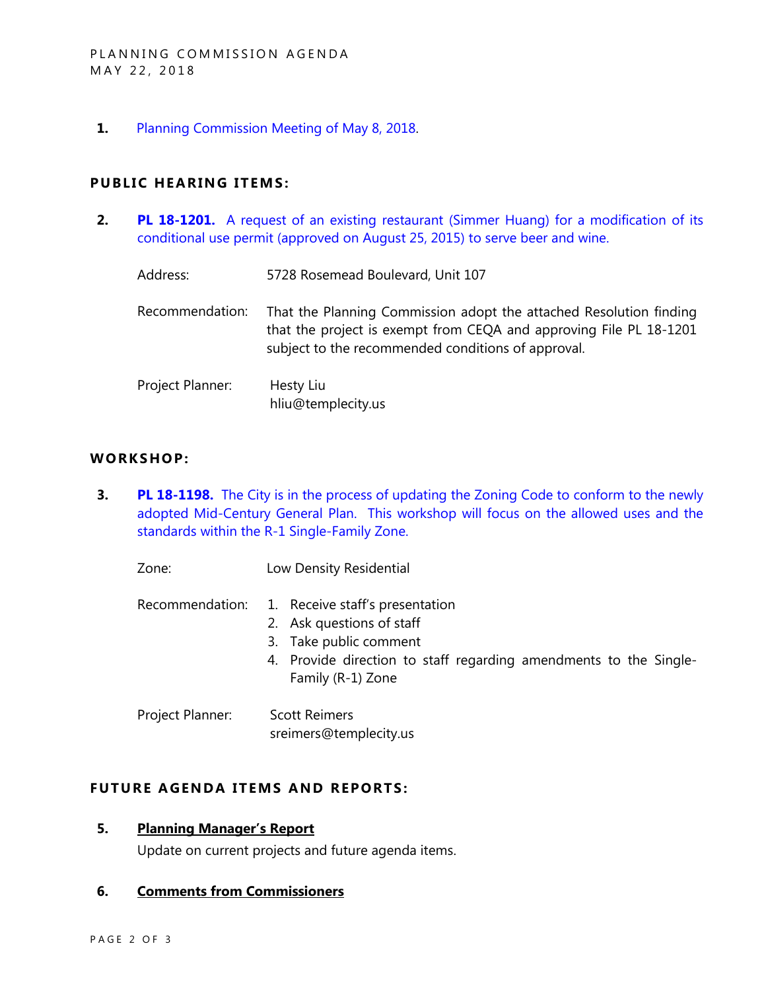**1.** [Planning Commission Meeting of May 8, 2018.](http://www.ci.temple-city.ca.us/DocumentCenter/View/10411/Item-1-Planning-Commission-Minutes---May-8-2018-Draft)

### **PUBLIC HEARING ITEMS:**

**2. PL 18-1201.** [A request of an existing restaurant \(Simmer Huang\) for a modification of its](http://www.ci.temple-city.ca.us/DocumentCenter/View/10413/Item-2-Modification-of-a-Conditional-Use-Permit-to-sell-Beer-and-Wine-Simmer-Huang-5728-Rosemead-Blvd-107)  [conditional use permit \(approved on August 25, 2015\) to serve beer and wine.](http://www.ci.temple-city.ca.us/DocumentCenter/View/10413/Item-2-Modification-of-a-Conditional-Use-Permit-to-sell-Beer-and-Wine-Simmer-Huang-5728-Rosemead-Blvd-107)

| Address:         | 5728 Rosemead Boulevard, Unit 107                                                                                                                                                              |
|------------------|------------------------------------------------------------------------------------------------------------------------------------------------------------------------------------------------|
| Recommendation:  | That the Planning Commission adopt the attached Resolution finding<br>that the project is exempt from CEQA and approving File PL 18-1201<br>subject to the recommended conditions of approval. |
| Project Planner: | Hesty Liu<br>hliu@templecity.us                                                                                                                                                                |

#### **WORKS HOP:**

**3. PL 18-1198.** The City is in the process of updating the Zoning Code to conform to the newly [adopted Mid-Century General Plan. This workshop will focus on the allowed uses and the](http://www.ci.temple-city.ca.us/DocumentCenter/View/10412/Item-3-Zoning-Code-Update---R-1-Single-Family-Residential-Zone-District)  [standards within the R-1 Single-Family Zone.](http://www.ci.temple-city.ca.us/DocumentCenter/View/10412/Item-3-Zoning-Code-Update---R-1-Single-Family-Residential-Zone-District)

Zone: Low Density Residential

Recommendation: 1. Receive staff's presentation

- 2. Ask questions of staff
- 3. Take public comment
- 4. Provide direction to staff regarding amendments to the Single-Family (R-1) Zone
- Project Planner: Scott Reimers sreimers@templecity.us

#### **FUTURE AGENDA ITEMS AND REPORTS:**

## **5. Planning Manager's Report**

Update on current projects and future agenda items.

#### **6. Comments from Commissioners**